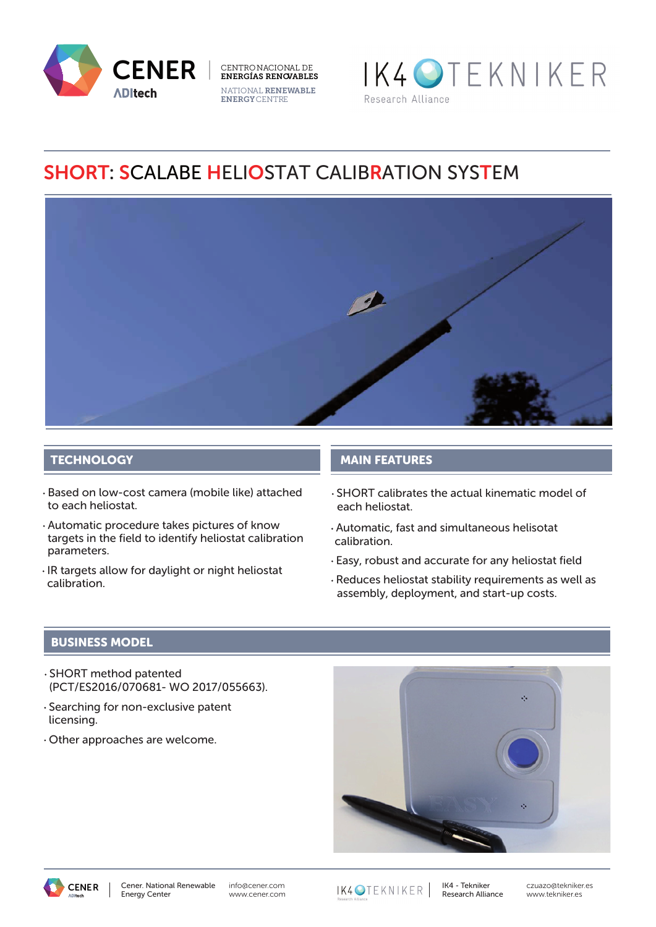





# SHORT: SCALABE HELIOSTAT CALIBRATION SYSTEM



## **TECHNOLOGY**

- Based on low-cost camera (mobile like) attached to each heliostat.
- Automatic procedure takes pictures of know targets in the field to identify heliostat calibration parameters.
- IR targets allow for daylight or night heliostat calibration.

## MAIN FEATURES

- SHORT calibrates the actual kinematic model of each heliostat.
- Automatic, fast and simultaneous helisotat calibration.
- Easy, robust and accurate for any heliostat field
- Reduces heliostat stability requirements as well as assembly, deployment, and start-up costs.

## BUSINESS MODEL

- SHORT method patented (PCT/ES2016/070681- WO 2017/055663).
- Searching for non-exclusive patent licensing.
- Other approaches are welcome.





IK4OTEKNIKER